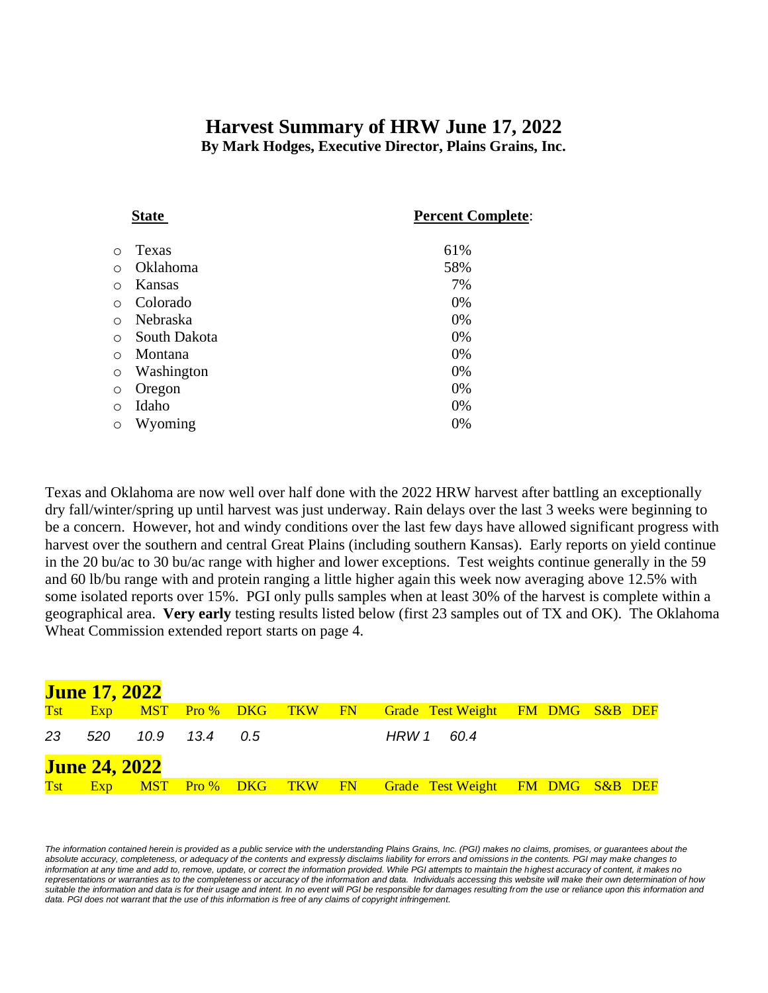# **Harvest Summary of HRW June 17, 2022**

**By Mark Hodges, Executive Director, Plains Grains, Inc.**

| State |            |              | <b>Percent Complete:</b> |  |  |
|-------|------------|--------------|--------------------------|--|--|
|       | $\circ$    | Texas        | 61%                      |  |  |
|       | ∩          | Oklahoma     | 58%                      |  |  |
|       | ∩          | Kansas       | 7%                       |  |  |
|       | $\circ$    | Colorado     | 0%                       |  |  |
|       | $\bigcirc$ | Nebraska     | 0%                       |  |  |
|       | $\bigcirc$ | South Dakota | 0%                       |  |  |
|       | $\bigcirc$ | Montana      | 0%                       |  |  |
|       | $\circ$    | Washington   | 0%                       |  |  |
|       | $\circ$    | Oregon       | 0%                       |  |  |
|       | $\circ$    | Idaho        | 0%                       |  |  |
|       | $\circ$    | Wyoming      | 0%                       |  |  |
|       |            |              |                          |  |  |

Texas and Oklahoma are now well over half done with the 2022 HRW harvest after battling an exceptionally dry fall/winter/spring up until harvest was just underway. Rain delays over the last 3 weeks were beginning to be a concern. However, hot and windy conditions over the last few days have allowed significant progress with harvest over the southern and central Great Plains (including southern Kansas). Early reports on yield continue in the 20 bu/ac to 30 bu/ac range with higher and lower exceptions. Test weights continue generally in the 59 and 60 lb/bu range with and protein ranging a little higher again this week now averaging above 12.5% with some isolated reports over 15%. PGI only pulls samples when at least 30% of the harvest is complete within a geographical area. **Very early** testing results listed below (first 23 samples out of TX and OK). The Oklahoma Wheat Commission extended report starts on page 4.

|     | <b>June 17, 2022</b> |      |      |     |                         |                                                              |  |
|-----|----------------------|------|------|-----|-------------------------|--------------------------------------------------------------|--|
| Tst |                      |      |      |     | Exp MST Pro% DKG TKW FN | <b>Grade Test Weight FM DMG S&amp;B DEF</b>                  |  |
| 23  | 520                  | 10.9 | 13.4 | 0.5 |                         | HRW 1<br>60.4                                                |  |
|     | <b>June 24, 2022</b> |      |      |     |                         |                                                              |  |
| Tst | Exp                  |      |      |     |                         | <b>MST</b> Pro % DKG TKW FN Grade Test Weight FM DMG S&B DEF |  |

The information contained herein is provided as a public service with the understanding Plains Grains, Inc. (PGI) makes no claims, promises, or guarantees about the *absolute accuracy, completeness, or adequacy of the contents and expressly disclaims liability for errors and omissions in the contents. PGI may make changes to information at any time and add to, remove, update, or correct the information provided. While PGI attempts to maintain the highest accuracy of content, it makes no representations or warranties as to the completeness or accuracy of the information and data. Individuals accessing this website will make their own determination of how*  suitable the information and data is for their usage and intent. In no event will PGI be responsible for damages resulting from the use or reliance upon this information and data. PGI does not warrant that the use of this information is free of any claims of copyright infringement.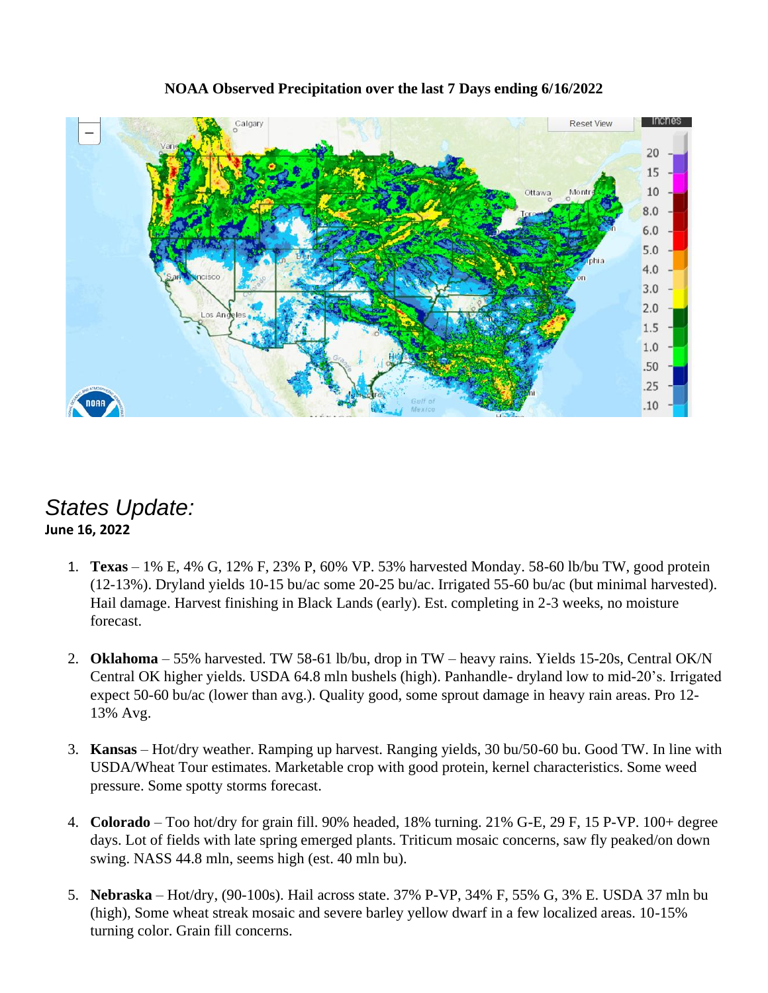

#### **NOAA Observed Precipitation over the last 7 Days ending 6/16/2022**

### *States Update:* **June 16, 2022**

- 1. **Texas** 1% E, 4% G, 12% F, 23% P, 60% VP. 53% harvested Monday. 58-60 lb/bu TW, good protein (12-13%). Dryland yields 10-15 bu/ac some 20-25 bu/ac. Irrigated 55-60 bu/ac (but minimal harvested). Hail damage. Harvest finishing in Black Lands (early). Est. completing in 2-3 weeks, no moisture forecast.
- 2. **Oklahoma**  55% harvested. TW 58-61 lb/bu, drop in TW heavy rains. Yields 15-20s, Central OK/N Central OK higher yields. USDA 64.8 mln bushels (high). Panhandle- dryland low to mid-20's. Irrigated expect 50-60 bu/ac (lower than avg.). Quality good, some sprout damage in heavy rain areas. Pro 12- 13% Avg.
- 3. **Kansas** Hot/dry weather. Ramping up harvest. Ranging yields, 30 bu/50-60 bu. Good TW. In line with USDA/Wheat Tour estimates. Marketable crop with good protein, kernel characteristics. Some weed pressure. Some spotty storms forecast.
- 4. **Colorado**  Too hot/dry for grain fill. 90% headed, 18% turning. 21% G-E, 29 F, 15 P-VP. 100+ degree days. Lot of fields with late spring emerged plants. Triticum mosaic concerns, saw fly peaked/on down swing. NASS 44.8 mln, seems high (est. 40 mln bu).
- 5. **Nebraska** Hot/dry, (90-100s). Hail across state. 37% P-VP, 34% F, 55% G, 3% E. USDA 37 mln bu (high), Some wheat streak mosaic and severe barley yellow dwarf in a few localized areas. 10-15% turning color. Grain fill concerns.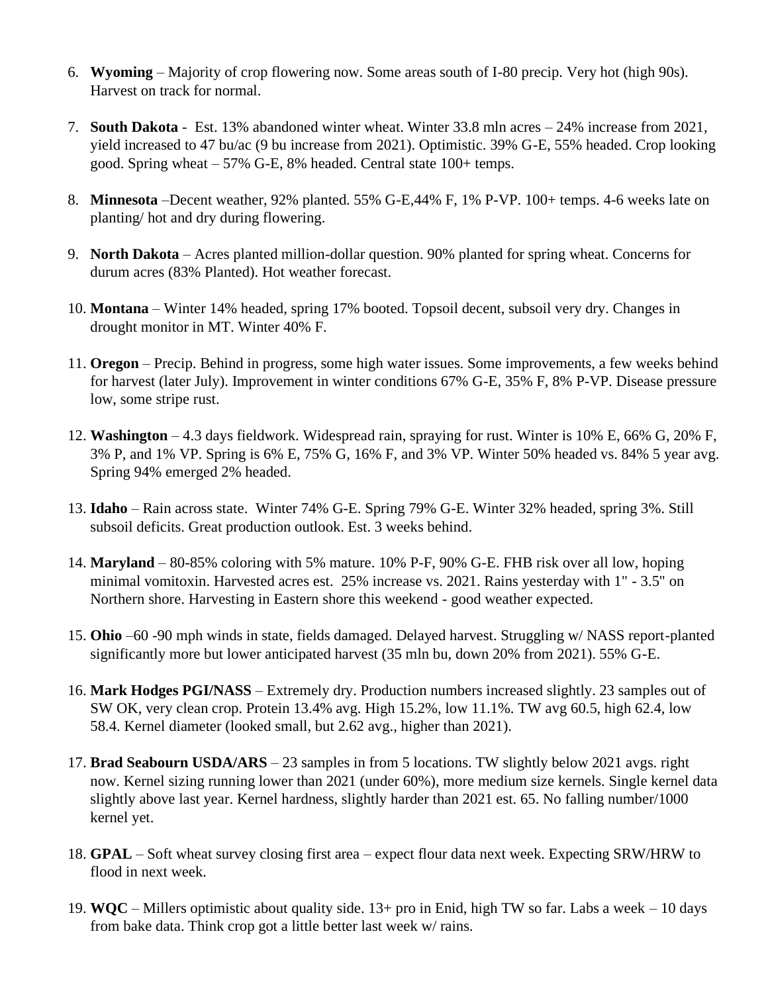- 6. **Wyoming** Majority of crop flowering now. Some areas south of I-80 precip. Very hot (high 90s). Harvest on track for normal.
- 7. **South Dakota** Est. 13% abandoned winter wheat. Winter 33.8 mln acres 24% increase from 2021, yield increased to 47 bu/ac (9 bu increase from 2021). Optimistic. 39% G-E, 55% headed. Crop looking good. Spring wheat – 57% G-E, 8% headed. Central state 100+ temps.
- 8. **Minnesota** –Decent weather, 92% planted. 55% G-E,44% F, 1% P-VP. 100+ temps. 4-6 weeks late on planting/ hot and dry during flowering.
- 9. **North Dakota**  Acres planted million-dollar question. 90% planted for spring wheat. Concerns for durum acres (83% Planted). Hot weather forecast.
- 10. **Montana**  Winter 14% headed, spring 17% booted. Topsoil decent, subsoil very dry. Changes in drought monitor in MT. Winter 40% F.
- 11. **Oregon** Precip. Behind in progress, some high water issues. Some improvements, a few weeks behind for harvest (later July). Improvement in winter conditions 67% G-E, 35% F, 8% P-VP. Disease pressure low, some stripe rust.
- 12. **Washington**  4.3 days fieldwork. Widespread rain, spraying for rust. Winter is 10% E, 66% G, 20% F, 3% P, and 1% VP. Spring is 6% E, 75% G, 16% F, and 3% VP. Winter 50% headed vs. 84% 5 year avg. Spring 94% emerged 2% headed.
- 13. **Idaho** Rain across state. Winter 74% G-E. Spring 79% G-E. Winter 32% headed, spring 3%. Still subsoil deficits. Great production outlook. Est. 3 weeks behind.
- 14. **Maryland**  80-85% coloring with 5% mature. 10% P-F, 90% G-E. FHB risk over all low, hoping minimal vomitoxin. Harvested acres est. 25% increase vs. 2021. Rains yesterday with 1" - 3.5" on Northern shore. Harvesting in Eastern shore this weekend - good weather expected.
- 15. **Ohio** –60 -90 mph winds in state, fields damaged. Delayed harvest. Struggling w/ NASS report-planted significantly more but lower anticipated harvest (35 mln bu, down 20% from 2021). 55% G-E.
- 16. **Mark Hodges PGI/NASS** Extremely dry. Production numbers increased slightly. 23 samples out of SW OK, very clean crop. Protein 13.4% avg. High 15.2%, low 11.1%. TW avg 60.5, high 62.4, low 58.4. Kernel diameter (looked small, but 2.62 avg., higher than 2021).
- 17. **Brad Seabourn USDA/ARS** 23 samples in from 5 locations. TW slightly below 2021 avgs. right now. Kernel sizing running lower than 2021 (under 60%), more medium size kernels. Single kernel data slightly above last year. Kernel hardness, slightly harder than 2021 est. 65. No falling number/1000 kernel yet.
- 18. **GPAL**  Soft wheat survey closing first area expect flour data next week. Expecting SRW/HRW to flood in next week.
- 19. **WQC**  Millers optimistic about quality side. 13+ pro in Enid, high TW so far. Labs a week 10 days from bake data. Think crop got a little better last week w/ rains.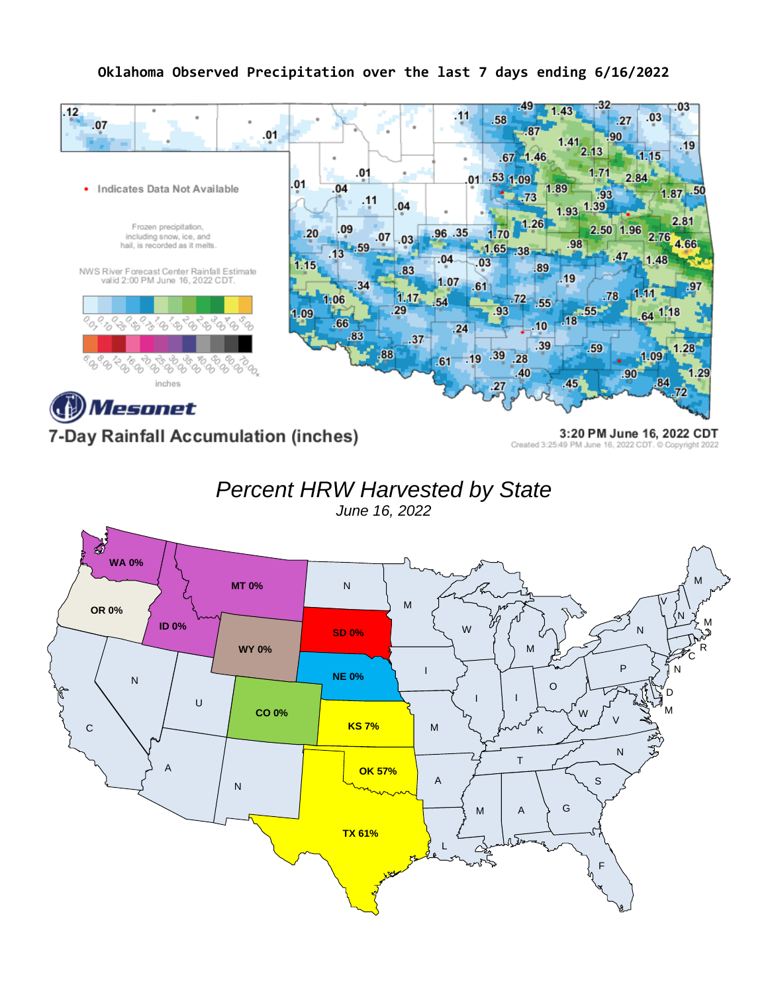#### **Oklahoma Observed Precipitation over the last 7 days ending 6/16/2022**



7-Day Rainfall Accumulation (inches)

3:20 PM June 16, 2022 CDT Created 3:25:49 PM June 16, 2022 CDT. C Copyright 2022

*Percent HRW Harvested by State*

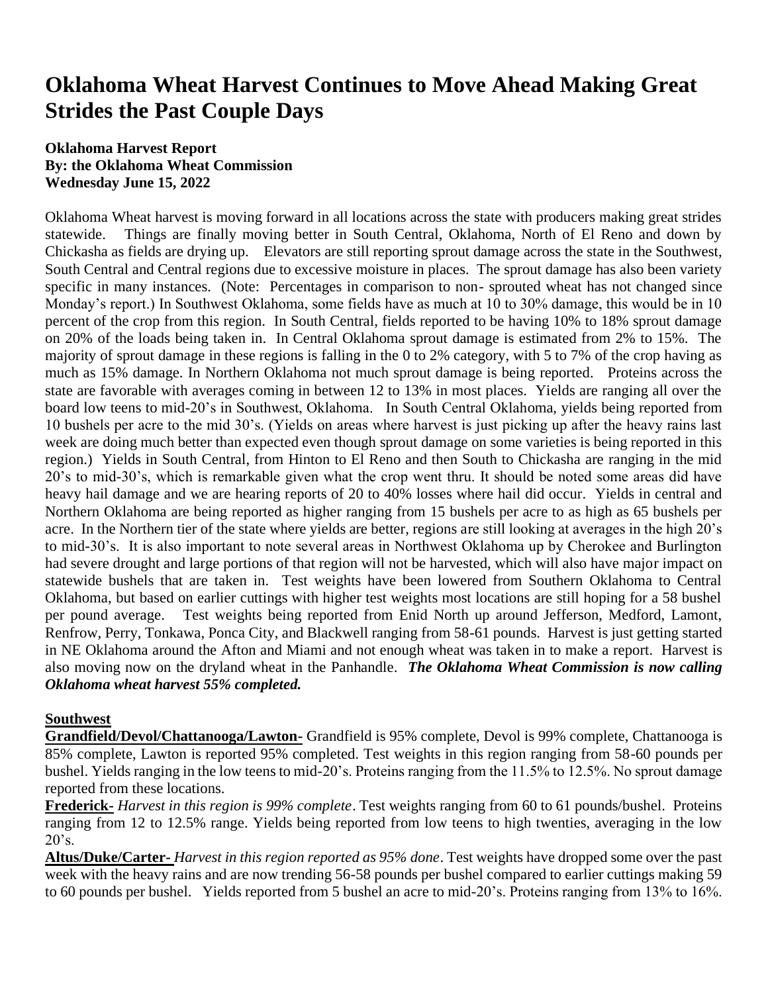## **Oklahoma Wheat Harvest Continues to Move Ahead Making Great Strides the Past Couple Days**

#### **Oklahoma Harvest Report By: the Oklahoma Wheat Commission Wednesday June 15, 2022**

Oklahoma Wheat harvest is moving forward in all locations across the state with producers making great strides statewide. Things are finally moving better in South Central, Oklahoma, North of El Reno and down by Chickasha as fields are drying up. Elevators are still reporting sprout damage across the state in the Southwest, South Central and Central regions due to excessive moisture in places. The sprout damage has also been variety specific in many instances. (Note: Percentages in comparison to non- sprouted wheat has not changed since Monday's report.) In Southwest Oklahoma, some fields have as much at 10 to 30% damage, this would be in 10 percent of the crop from this region. In South Central, fields reported to be having 10% to 18% sprout damage on 20% of the loads being taken in. In Central Oklahoma sprout damage is estimated from 2% to 15%. The majority of sprout damage in these regions is falling in the 0 to 2% category, with 5 to 7% of the crop having as much as 15% damage. In Northern Oklahoma not much sprout damage is being reported. Proteins across the state are favorable with averages coming in between 12 to 13% in most places. Yields are ranging all over the board low teens to mid-20's in Southwest, Oklahoma. In South Central Oklahoma, yields being reported from 10 bushels per acre to the mid 30's. (Yields on areas where harvest is just picking up after the heavy rains last week are doing much better than expected even though sprout damage on some varieties is being reported in this region.) Yields in South Central, from Hinton to El Reno and then South to Chickasha are ranging in the mid 20's to mid-30's, which is remarkable given what the crop went thru. It should be noted some areas did have heavy hail damage and we are hearing reports of 20 to 40% losses where hail did occur. Yields in central and Northern Oklahoma are being reported as higher ranging from 15 bushels per acre to as high as 65 bushels per acre. In the Northern tier of the state where yields are better, regions are still looking at averages in the high 20's to mid-30's. It is also important to note several areas in Northwest Oklahoma up by Cherokee and Burlington had severe drought and large portions of that region will not be harvested, which will also have major impact on statewide bushels that are taken in. Test weights have been lowered from Southern Oklahoma to Central Oklahoma, but based on earlier cuttings with higher test weights most locations are still hoping for a 58 bushel per pound average. Test weights being reported from Enid North up around Jefferson, Medford, Lamont, Renfrow, Perry, Tonkawa, Ponca City, and Blackwell ranging from 58-61 pounds. Harvest is just getting started in NE Oklahoma around the Afton and Miami and not enough wheat was taken in to make a report. Harvest is also moving now on the dryland wheat in the Panhandle. *The Oklahoma Wheat Commission is now calling Oklahoma wheat harvest 55% completed.*

#### **Southwest**

**Grandfield/Devol/Chattanooga/Lawton-** Grandfield is 95% complete, Devol is 99% complete, Chattanooga is 85% complete, Lawton is reported 95% completed. Test weights in this region ranging from 58-60 pounds per bushel. Yields ranging in the low teens to mid-20's. Proteins ranging from the 11.5% to 12.5%. No sprout damage reported from these locations.

**Frederick-** *Harvest in this region is 99% complete*. Test weights ranging from 60 to 61 pounds/bushel. Proteins ranging from 12 to 12.5% range. Yields being reported from low teens to high twenties, averaging in the low  $20's.$ 

**Altus/Duke/Carter-** *Harvest in this region reported as 95% done*. Test weights have dropped some over the past week with the heavy rains and are now trending 56-58 pounds per bushel compared to earlier cuttings making 59 to 60 pounds per bushel. Yields reported from 5 bushel an acre to mid-20's. Proteins ranging from 13% to 16%.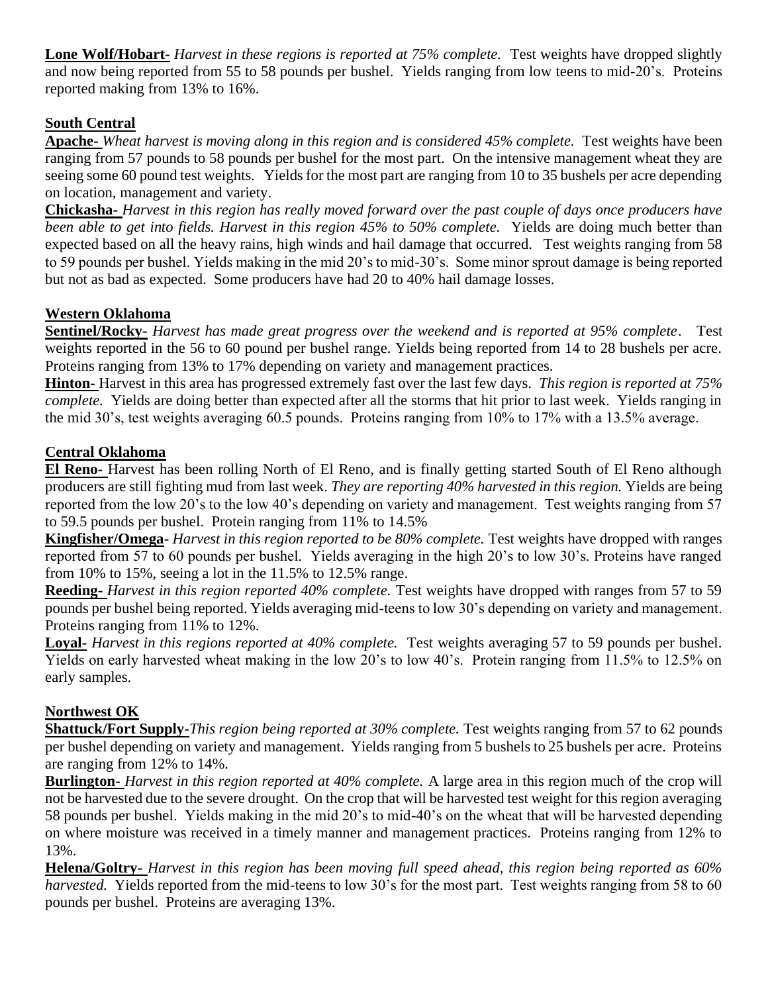**Lone Wolf/Hobart-** *Harvest in these regions is reported at 75% complete.* Test weights have dropped slightly and now being reported from 55 to 58 pounds per bushel. Yields ranging from low teens to mid-20's. Proteins reported making from 13% to 16%.

#### **South Central**

**Apache-** *Wheat harvest is moving along in this region and is considered 45% complete.* Test weights have been ranging from 57 pounds to 58 pounds per bushel for the most part. On the intensive management wheat they are seeing some 60 pound test weights. Yields for the most part are ranging from 10 to 35 bushels per acre depending on location, management and variety.

**Chickasha-** *Harvest in this region has really moved forward over the past couple of days once producers have been able to get into fields. Harvest in this region 45% to 50% complete. Yields are doing much better than* expected based on all the heavy rains, high winds and hail damage that occurred. Test weights ranging from 58 to 59 pounds per bushel. Yields making in the mid 20's to mid-30's. Some minor sprout damage is being reported but not as bad as expected. Some producers have had 20 to 40% hail damage losses.

#### **Western Oklahoma**

**Sentinel/Rocky-** *Harvest has made great progress over the weekend and is reported at 95% complete*. Test weights reported in the 56 to 60 pound per bushel range. Yields being reported from 14 to 28 bushels per acre. Proteins ranging from 13% to 17% depending on variety and management practices.

**Hinton-** Harvest in this area has progressed extremely fast over the last few days. *This region is reported at 75% complete.* Yields are doing better than expected after all the storms that hit prior to last week. Yields ranging in the mid 30's, test weights averaging 60.5 pounds. Proteins ranging from 10% to 17% with a 13.5% average.

#### **Central Oklahoma**

**El Reno-** Harvest has been rolling North of El Reno, and is finally getting started South of El Reno although producers are still fighting mud from last week. *They are reporting 40% harvested in this region.* Yields are being reported from the low 20's to the low 40's depending on variety and management. Test weights ranging from 57 to 59.5 pounds per bushel. Protein ranging from 11% to 14.5%

**Kingfisher/Omega-** *Harvest in this region reported to be 80% complete.* Test weights have dropped with ranges reported from 57 to 60 pounds per bushel. Yields averaging in the high 20's to low 30's. Proteins have ranged from 10% to 15%, seeing a lot in the 11.5% to 12.5% range.

**Reeding-** *Harvest in this region reported 40% complete.* Test weights have dropped with ranges from 57 to 59 pounds per bushel being reported. Yields averaging mid-teens to low 30's depending on variety and management. Proteins ranging from 11% to 12%.

**Loyal-** *Harvest in this regions reported at 40% complete.* Test weights averaging 57 to 59 pounds per bushel. Yields on early harvested wheat making in the low 20's to low 40's. Protein ranging from 11.5% to 12.5% on early samples.

#### **Northwest OK**

**Shattuck/Fort Supply-***This region being reported at 30% complete.* Test weights ranging from 57 to 62 pounds per bushel depending on variety and management. Yields ranging from 5 bushels to 25 bushels per acre. Proteins are ranging from 12% to 14%.

**Burlington-** *Harvest in this region reported at 40% complete.* A large area in this region much of the crop will not be harvested due to the severe drought. On the crop that will be harvested test weight for this region averaging 58 pounds per bushel. Yields making in the mid 20's to mid-40's on the wheat that will be harvested depending on where moisture was received in a timely manner and management practices. Proteins ranging from 12% to 13%.

**Helena/Goltry-** *Harvest in this region has been moving full speed ahead, this region being reported as 60% harvested.* Yields reported from the mid-teens to low 30's for the most part. Test weights ranging from 58 to 60 pounds per bushel. Proteins are averaging 13%.